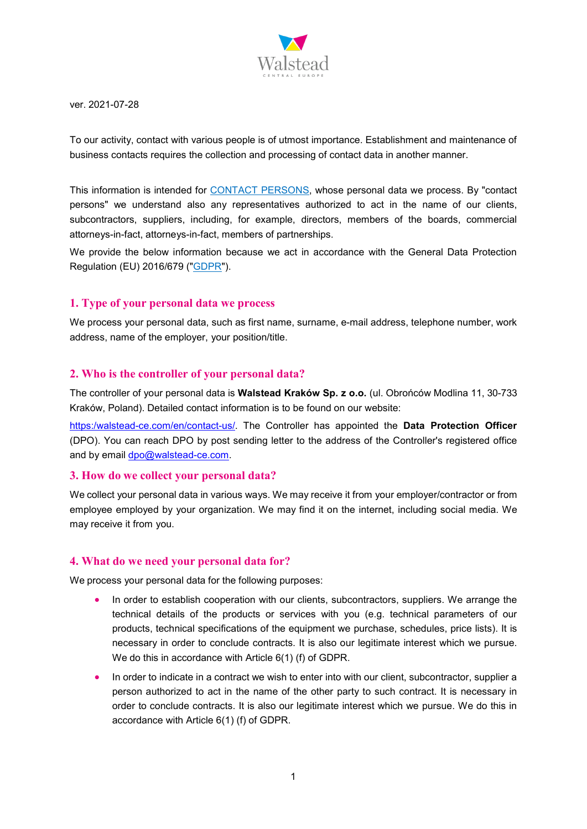

ver. 2021-07-28

To our activity, contact with various people is of utmost importance. Establishment and maintenance of business contacts requires the collection and processing of contact data in another manner.

This information is intended for CONTACT PERSONS, whose personal data we process. By "contact persons" we understand also any representatives authorized to act in the name of our clients, subcontractors, suppliers, including, for example, directors, members of the boards, commercial attorneys-in-fact, attorneys-in-fact, members of partnerships.

We provide the below information because we act in accordance with the General Data Protection Regulation (EU) 2016/679 ("GDPR").

# **1. Type of your personal data we process**

We process your personal data, such as first name, surname, e-mail address, telephone number, work address, name of the employer, your position/title.

### **2. Who is the controller of your personal data?**

The controller of your personal data is **Walstead Kraków Sp. z o.o.** (ul. Obrońców Modlina 11, 30-733 Kraków, Poland). Detailed contact information is to be found on our website:

[https:/w](https://europe.lsccom.com/en/contact-us/)alstead-ce.com/en/contact-us/. The Controller has appointed the **Data Protection Officer** (DPO). You can reach DPO by post sending letter to the address of the Controller's registered office and by email [dpo@walstead-ce.com.](mailto:dpo@walstead-ce.com)

### **3. How do we collect your personal data?**

We collect your personal data in various ways. We may receive it from your employer/contractor or from employee employed by your organization. We may find it on the internet, including social media. We may receive it from you.

### **4. What do we need your personal data for?**

We process your personal data for the following purposes:

- In order to establish cooperation with our clients, subcontractors, suppliers. We arrange the technical details of the products or services with you (e.g. technical parameters of our products, technical specifications of the equipment we purchase, schedules, price lists). It is necessary in order to conclude contracts. It is also our legitimate interest which we pursue. We do this in accordance with Article 6(1) (f) of GDPR.
- In order to indicate in a contract we wish to enter into with our client, subcontractor, supplier a person authorized to act in the name of the other party to such contract. It is necessary in order to conclude contracts. It is also our legitimate interest which we pursue. We do this in accordance with Article 6(1) (f) of GDPR.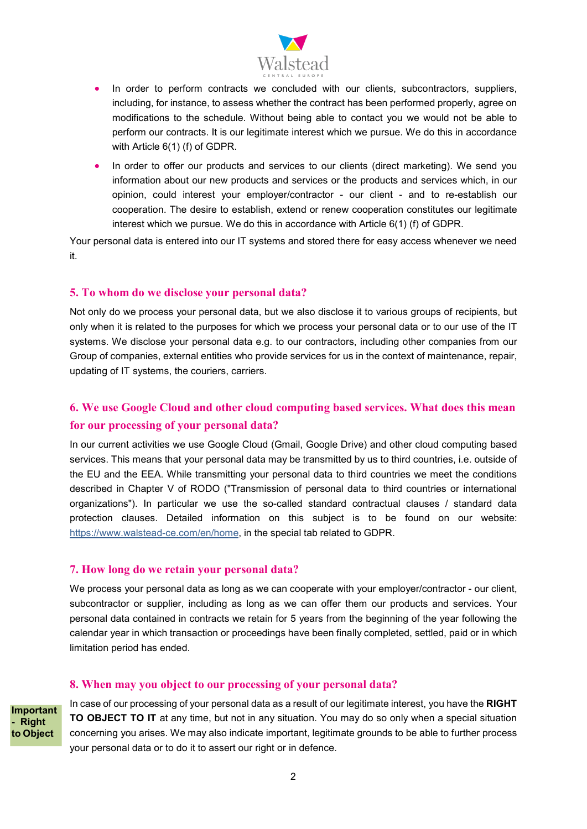

- In order to perform contracts we concluded with our clients, subcontractors, suppliers, including, for instance, to assess whether the contract has been performed properly, agree on modifications to the schedule. Without being able to contact you we would not be able to perform our contracts. It is our legitimate interest which we pursue. We do this in accordance with Article 6(1) (f) of GDPR.
- In order to offer our products and services to our clients (direct marketing). We send you information about our new products and services or the products and services which, in our opinion, could interest your employer/contractor - our client - and to re-establish our cooperation. The desire to establish, extend or renew cooperation constitutes our legitimate interest which we pursue. We do this in accordance with Article 6(1) (f) of GDPR.

Your personal data is entered into our IT systems and stored there for easy access whenever we need it.

### **5. To whom do we disclose your personal data?**

Not only do we process your personal data, but we also disclose it to various groups of recipients, but only when it is related to the purposes for which we process your personal data or to our use of the IT systems. We disclose your personal data e.g. to our contractors, including other companies from our Group of companies, external entities who provide services for us in the context of maintenance, repair, updating of IT systems, the couriers, carriers.

# **6. We use Google Cloud and other cloud computing based services. What does this mean for our processing of your personal data?**

In our current activities we use Google Cloud (Gmail, Google Drive) and other cloud computing based services. This means that your personal data may be transmitted by us to third countries, i.e. outside of the EU and the EEA. While transmitting your personal data to third countries we meet the conditions described in Chapter V of RODO ("Transmission of personal data to third countries or international organizations"). In particular we use the so-called standard contractual clauses / standard data protection clauses. Detailed information on this subject is to be found on our website: [https://www.walstead-ce.com/en/home,](https://europe.lsccom.com/en/contact-us/) in the special tab related to GDPR.

### **7. How long do we retain your personal data?**

We process your personal data as long as we can cooperate with your employer/contractor - our client, subcontractor or supplier, including as long as we can offer them our products and services. Your personal data contained in contracts we retain for 5 years from the beginning of the year following the calendar year in which transaction or proceedings have been finally completed, settled, paid or in which limitation period has ended.

# **8. When may you object to our processing of your personal data?**

**Important - Right to Object**

In case of our processing of your personal data as a result of our legitimate interest, you have the **RIGHT TO OBJECT TO IT** at any time, but not in any situation. You may do so only when a special situation concerning you arises. We may also indicate important, legitimate grounds to be able to further process your personal data or to do it to assert our right or in defence.